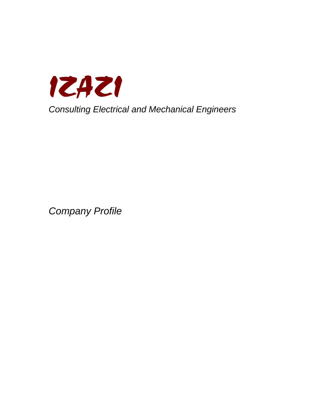

Company Profile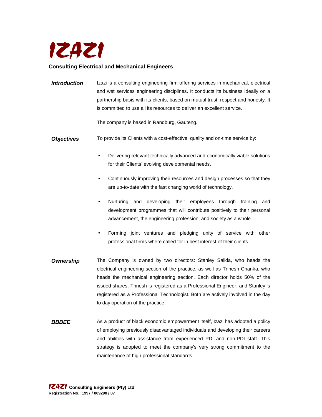

### **Consulting Electrical and Mechanical Engineers**

**Introduction** Izazi is a consulting engineering firm offering services in mechanical, electrical and wet services engineering disciplines. It conducts its business ideally on a partnership basis with its clients, based on mutual trust, respect and honesty. It is committed to use all its resources to deliver an excellent service.

The company is based in Randburg, Gauteng.

- **Objectives** To provide its Clients with a cost-effective, quality and on-time service by:
	- Delivering relevant technically advanced and economically viable solutions for their Clients' evolving developmental needs.
	- Continuously improving their resources and design processes so that they are up-to-date with the fast changing world of technology.
	- Nurturing and developing their employees through training and development programmes that will contribute positively to their personal advancement, the engineering profession, and society as a whole.
	- Forming joint ventures and pledging unity of service with other professional firms where called for in best interest of their clients.
- **Ownership** The Company is owned by two directors: Stanley Salida, who heads the electrical engineering section of the practice, as well as Trinesh Chanka, who heads the mechanical engineering section. Each director holds 50% of the issued shares. Trinesh is registered as a Professional Engineer, and Stanley is registered as a Professional Technologist. Both are actively involved in the day to day operation of the practice.
- **BBBEE** As a product of black economic empowerment itself, Izazi has adopted a policy of employing previously disadvantaged individuals and developing their careers and abilities with assistance from experienced PDI and non-PDI staff. This strategy is adopted to meet the company's very strong commitment to the maintenance of high professional standards.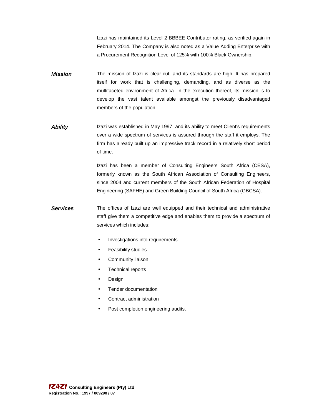Izazi has maintained its Level 2 BBBEE Contributor rating, as verified again in February 2014. The Company is also noted as a Value Adding Enterprise with a Procurement Recognition Level of 125% with 100% Black Ownership.

- **Mission** The mission of Izazi is clear-cut, and its standards are high. It has prepared itself for work that is challenging, demanding, and as diverse as the multifaceted environment of Africa. In the execution thereof, its mission is to develop the vast talent available amongst the previously disadvantaged members of the population.
- **Ability** Izazi was established in May 1997, and its ability to meet Client's requirements over a wide spectrum of services is assured through the staff it employs. The firm has already built up an impressive track record in a relatively short period of time.

Izazi has been a member of Consulting Engineers South Africa (CESA), formerly known as the South African Association of Consulting Engineers, since 2004 and current members of the South African Federation of Hospital Engineering (SAFHE) and Green Building Council of South Africa (GBCSA).

- **Services** The offices of Izazi are well equipped and their technical and administrative staff give them a competitive edge and enables them to provide a spectrum of services which includes:
	- Investigations into requirements
	- Feasibility studies
	- Community liaison
	- Technical reports
	- **Design**
	- Tender documentation
	- Contract administration
	- Post completion engineering audits.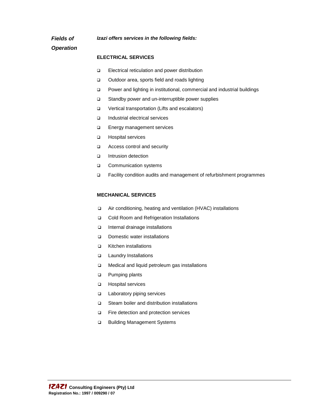**Izazi offers services in the following fields:**

**Fields of Operation** 

#### **ELECTRICAL SERVICES**

- □ Electrical reticulation and power distribution
- □ Outdoor area, sports field and roads lighting
- Power and lighting in institutional, commercial and industrial buildings
- □ Standby power and un-interruptible power supplies
- □ Vertical transportation (Lifts and escalators)
- Industrial electrical services
- □ Energy management services
- **Hospital services**
- □ Access control and security
- Intrusion detection
- **Q** Communication systems
- □ Facility condition audits and management of refurbishment programmes

#### **MECHANICAL SERVICES**

- Air conditioning, heating and ventilation (HVAC) installations
- □ Cold Room and Refrigeration Installations
- Internal drainage installations
- □ Domestic water installations
- Kitchen installations
- □ Laundry Installations
- □ Medical and liquid petroleum gas installations
- **Pumping plants**
- □ Hospital services
- □ Laboratory piping services
- □ Steam boiler and distribution installations
- □ Fire detection and protection services
- □ Building Management Systems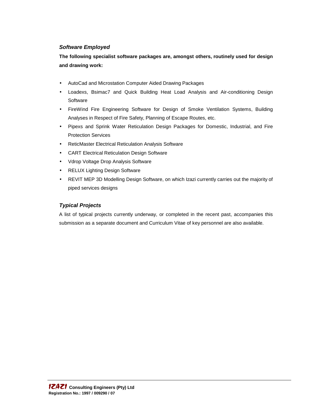### **Software Employed**

**The following specialist software packages are, amongst others, routinely used for design and drawing work:** 

- AutoCad and Microstation Computer Aided Drawing Packages
- Loadexs, Bsimac7 and Quick Building Heat Load Analysis and Air-conditioning Design **Software**
- FireWind Fire Engineering Software for Design of Smoke Ventilation Systems, Building Analyses in Respect of Fire Safety, Planning of Escape Routes, etc.
- Pipexs and Sprink Water Reticulation Design Packages for Domestic, Industrial, and Fire Protection Services
- ReticMaster Electrical Reticulation Analysis Software
- CART Electrical Reticulation Design Software
- Vdrop Voltage Drop Analysis Software
- RELUX Lighting Design Software
- REVIT MEP 3D Modelling Design Software, on which Izazi currently carries out the majority of piped services designs

# **Typical Projects**

A list of typical projects currently underway, or completed in the recent past, accompanies this submission as a separate document and Curriculum Vitae of key personnel are also available.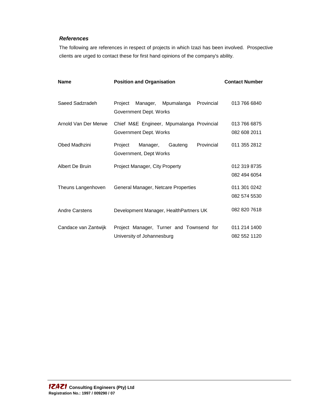# **References**

The following are references in respect of projects in which Izazi has been involved. Prospective clients are urged to contact these for first hand opinions of the company's ability.

| Name                 | <b>Position and Organisation</b>                                          | <b>Contact Number</b>        |
|----------------------|---------------------------------------------------------------------------|------------------------------|
| Saeed Sadzradeh      | Mpumalanga<br>Provincial<br>Project<br>Manager,<br>Government Dept. Works | 013 766 6840                 |
| Arnold Van Der Merwe | Chief M&E Engineer, Mpumalanga Provincial<br>Government Dept. Works       | 013 766 6875<br>082 608 2011 |
| Obed Madhzini        | Provincial<br>Manager,<br>Gauteng<br>Project<br>Government, Dept Works    | 011 355 2812                 |
| Albert De Bruin      | Project Manager, City Property                                            | 012 319 8735<br>082 494 6054 |
| Theuns Langenhoven   | General Manager, Netcare Properties                                       | 011 301 0242<br>082 574 5530 |
| Andre Carstens       | Development Manager, HealthPartners UK                                    | 082 820 7618                 |
| Candace van Zantwijk | Project Manager, Turner and Townsend for<br>University of Johannesburg    | 011 214 1400<br>082 552 1120 |